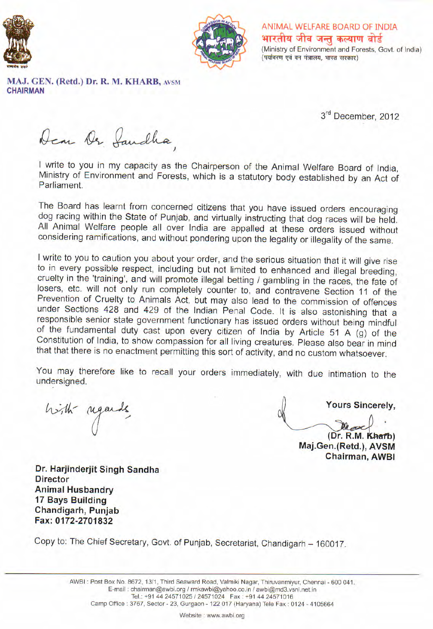



ANIMAL WELFARE BOARD OF INDIA भारतीय जीव जन्तु कल्याण बोर्ड (Ministry of Environment and Forests, Govt. of India) (पर्यावरण एवं वन मंत्रालय, भारत सरकार)

MAJ. GEN. (Retd.) Dr. R. M. KHARB, AVSM **CHAIRMAN** 

3rd December, 2012

Dear Or Saudha

I write to you in my capacity as the Chairperson of the Animal Welfare Board of India, Ministry of Environment and Forests, which is a statutory body established by an Act of Parliament.

The Board has learnt from concerned citizens that you have issued orders encouraging dog racing within the State of Punjab, and virtually instructing that dog races will be held. All Animal Welfare people all over India are appalled at these orders issued without considering ramifications, and without pondering upon the legality or illegality of the same.

I write to you to caution you about your order, and the serious situation that it will give rise to in every possible respect, including but not limited to enhanced and illegal breeding, cruelty in the 'training', and will promote illegal betting / gambling in the races, the fate of losers, etc. will not only run completely counter to, and contravene Section 11 of the Prevention of Cruelty to Animals Act, but may also lead to the commission of offences under Sections 428 and 429 of the Indian Penal Code. It is also astonishing that a responsible senior state government functionary has issued orders without being mindful of the fundamental duty cast upon every citizen of India by Article 51 A (g) of the Constitution of India, to show compassion for all living creatures. Please also bear in mind that that there is no enactment permitting this sort of activity, and no custom whatsoever.

You may therefore like to recall your orders immediately, with due intimation to the undersigned.

high regards

**Yours Sincerely.** 

(Dr. R.M. Kharb) Maj.Gen.(Retd.), AVSM **Chairman, AWBI** 

Dr. Harjinderjit Singh Sandha **Director Animal Husbandry** 17 Bays Building Chandigarh, Punjab Fax: 0172-2701832

Copy to: The Chief Secretary, Govt. of Punjab, Secretariat, Chandigarh - 160017.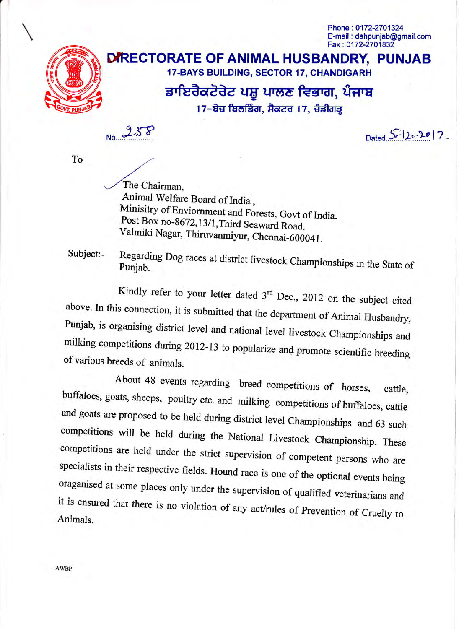Phone: 0172-2701324 E-mail: dahpuniab@gmail.com Fax: 0172-2701832



## DIRECTORATE OF ANIMAL HUSBANDRY, PUNJAB 17-BAYS BUILDING, SECTOR 17, CHANDIGARH

## ਡਾਇਰੈਕਟੋਰੇਟ ਪਸ਼ੂ ਪਾਲਣ ਵਿਭਾਗ, ਪੰਜਾਬ

17-ਬੇਜ਼ ਬਿਲਡਿੰਗ, ਸੈਕਟਰ 17, ਚੰਡੀਗੜ੍ਹ

Dated  $5 - 12 - 2012$ 

To

The Chairman, Animal Welfare Board of India, Minisitry of Enviornment and Forests, Govt of India. Post Box no-8672,13/1, Third Seaward Road, Valmiki Nagar, Thiruvanmiyur, Chennai-600041.

Subject:-

Regarding Dog races at district livestock Championships in the State of Punjab.

Kindly refer to your letter dated  $3^{rd}$  Dec., 2012 on the subject cited above. In this connection, it is submitted that the department of Animal Husbandry, Punjab, is organising district level and national level livestock Championships and milking competitions during 2012-13 to popularize and promote scientific breeding of various breeds of animals.

About 48 events regarding breed competitions of horses, cattle, buffaloes, goats, sheeps, poultry etc. and milking competitions of buffaloes, cattle and goats are proposed to be held during district level Championships and 63 such competitions will be held during the National Livestock Championship. These competitions are held under the strict supervision of competent persons who are specialists in their respective fields. Hound race is one of the optional events being oraganised at some places only under the supervision of qualified veterinarians and it is ensured that there is no violation of any act/rules of Prevention of Cruelty to Animals.